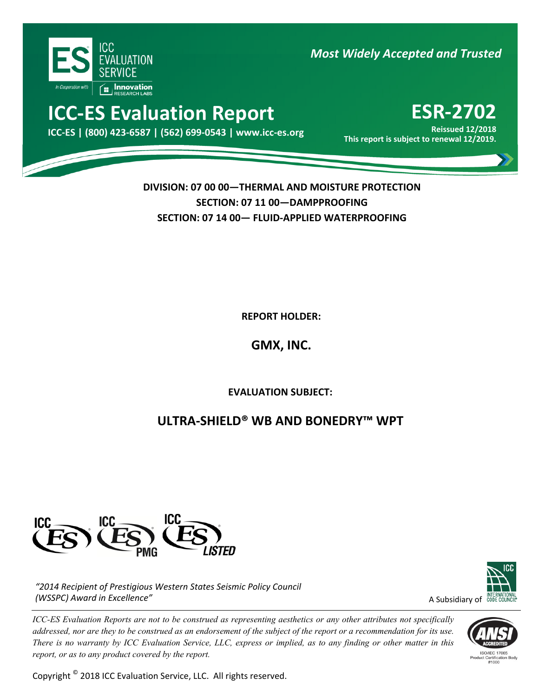

*Most Widely Accepted and Trusted*

# **ICC‐ES Evaluation Report ESR‐2702**

Reissued 12/2018 Keissued 12/2018<br>.This report is subject to renewal 12/2019 This report is subject to renewal 12/2019

**Reissued 12/2018**

**DIVISION: 07 00 00—THERMAL AND MOISTURE PROTECTION SECTION: 07 11 00—DAMPPROOFING SECTION: 07 14 00— FLUID‐APPLIED WATERPROOFING**

**REPORT HOLDER:** 

**GMX, INC.**

ľ **EVALUATION SUBJECT:**

## **ULTRA‐SHIELD® WB AND BONEDRY™ WPT**



*"2014 Recipient of Prestigious Western States Seismic Policy Council (WSSPC) Award in Excellence"*

*ICC-ES Evaluation Reports are not to be construed as representing aesthetics or any other attributes not specifically addressed, nor are they to be construed as an endorsement of the subject of the report or a recommendation for its use. There is no warranty by ICC Evaluation Service, LLC, express or implied, as to any finding or other matter in this report, or as to any product covered by the report.*

Copyright © 2018 ICC Evaluation Service, LLC. All rights reserved.



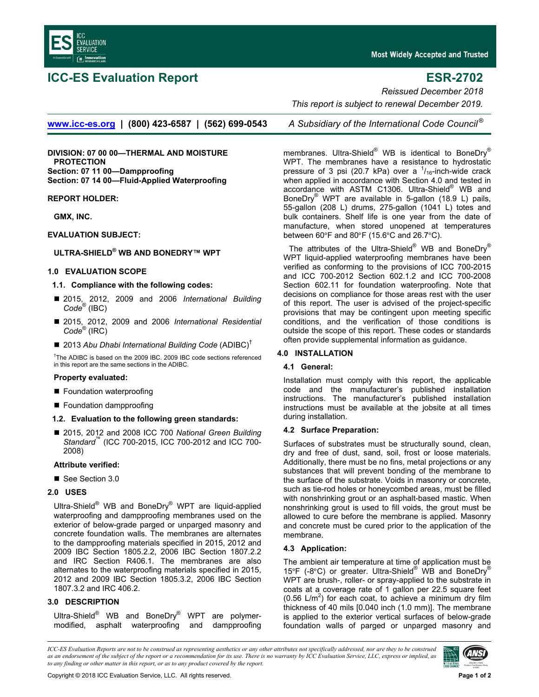

## **ICC-ES Evaluation Report ESR-2702**

Most Widely Accepted and Trusted

*Reissued December 2018* 

 *This report is subject to renewal December 2019.* 

**www.icc-es.org | (800) 423-6587 | (562) 699-0543** *A Subsidiary of the International Code Council ®*

**DIVISION: 07 00 00—THERMAL AND MOISTURE PROTECTION Section: 07 11 00—Dampproofing Section: 07 14 00—Fluid-Applied Waterproofing** 

#### **REPORT HOLDER:**

**GMX, INC.**

#### **EVALUATION SUBJECT:**

#### **ULTRA-SHIELD® WB AND BONEDRY™ WPT**

#### **1.0 EVALUATION SCOPE**

#### **1.1. Compliance with the following codes:**

- 2015, 2012, 2009 and 2006 *International Building Code*® (IBC)
- 2015, 2012, 2009 and 2006 *International Residential Code*® (IRC)
- 2013 Abu Dhabi International Building Code (ADIBC)<sup>†</sup>

<sup>†</sup>The ADIBC is based on the 2009 IBC. 2009 IBC code sections referenced in this report are the same sections in the ADIBC.

#### **Property evaluated:**

- **Foundation waterproofing**
- **Foundation dampproofing**

### **1.2. Evaluation to the following green standards:**

■ 2015, 2012 and 2008 ICC 700 *National Green Building Standard*™ (ICC 700-2015, ICC 700-2012 and ICC 700- 2008)

#### **Attribute verified:**

See Section 3.0

#### **2.0 USES**

Ultra-Shield<sup>®</sup> WB and BoneDry<sup>®</sup> WPT are liquid-applied waterproofing and dampproofing membranes used on the exterior of below-grade parged or unparged masonry and concrete foundation walls. The membranes are alternates to the dampproofing materials specified in 2015, 2012 and 2009 IBC Section 1805.2.2, 2006 IBC Section 1807.2.2 and IRC Section R406.1. The membranes are also alternates to the waterproofing materials specified in 2015, 2012 and 2009 IBC Section 1805.3.2, 2006 IBC Section 1807.3.2 and IRC 406.2.

#### **3.0 DESCRIPTION**

Ultra-Shield<sup>®</sup> WB and BoneDry<sup>®</sup> WPT are polymermodified, asphalt waterproofing and dampproofing

membranes. Ultra-Shield<sup>®</sup> WB is identical to BoneDry<sup>®</sup> WPT. The membranes have a resistance to hydrostatic pressure of 3 psi (20.7 kPa) over a  $1/16$ -inch-wide crack when applied in accordance with Section 4.0 and tested in accordance with ASTM C1306. Ultra-Shield<sup>®</sup> WB and BoneDry® WPT are available in 5-gallon (18.9 L) pails, 55-gallon (208 L) drums, 275-gallon (1041 L) totes and bulk containers. Shelf life is one year from the date of manufacture, when stored unopened at temperatures between 60°F and 80°F (15.6°C and 26.7°C).

The attributes of the Ultra-Shield® WB and BoneDry® WPT liquid-applied waterproofing membranes have been verified as conforming to the provisions of ICC 700-2015 and ICC 700-2012 Section 602.1.2 and ICC 700-2008 Section 602.11 for foundation waterproofing. Note that decisions on compliance for those areas rest with the user of this report. The user is advised of the project-specific provisions that may be contingent upon meeting specific conditions, and the verification of those conditions is outside the scope of this report. These codes or standards often provide supplemental information as guidance.

#### **4.0 INSTALLATION**

#### **4.1 General:**

Installation must comply with this report, the applicable code and the manufacturer's published installation instructions. The manufacturer's published installation instructions must be available at the jobsite at all times during installation.

#### **4.2 Surface Preparation:**

Surfaces of substrates must be structurally sound, clean, dry and free of dust, sand, soil, frost or loose materials. Additionally, there must be no fins, metal projections or any substances that will prevent bonding of the membrane to the surface of the substrate. Voids in masonry or concrete, such as tie-rod holes or honeycombed areas, must be filled with nonshrinking grout or an asphalt-based mastic. When nonshrinking grout is used to fill voids, the grout must be allowed to cure before the membrane is applied. Masonry and concrete must be cured prior to the application of the membrane.

#### **4.3 Application:**

The ambient air temperature at time of application must be 15°F (-8°C) or greater. Ultra-Shield® WB and BoneDry® WPT are brush-, roller- or spray-applied to the substrate in coats at a coverage rate of 1 gallon per 22.5 square feet  $(0.56 \text{ L/m}^2)$  for each coat, to achieve a minimum dry film thickness of 40 mils [0.040 inch (1.0 mm)]. The membrane is applied to the exterior vertical surfaces of below-grade foundation walls of parged or unparged masonry and

*ICC-ES Evaluation Reports are not to be construed as representing aesthetics or any other attributes not specifically addressed, nor are they to be construed as an endorsement of the subject of the report or a recommendation for its use. There is no warranty by ICC Evaluation Service, LLC, express or implied, as to any finding or other matter in this report, or as to any product covered by the report.*